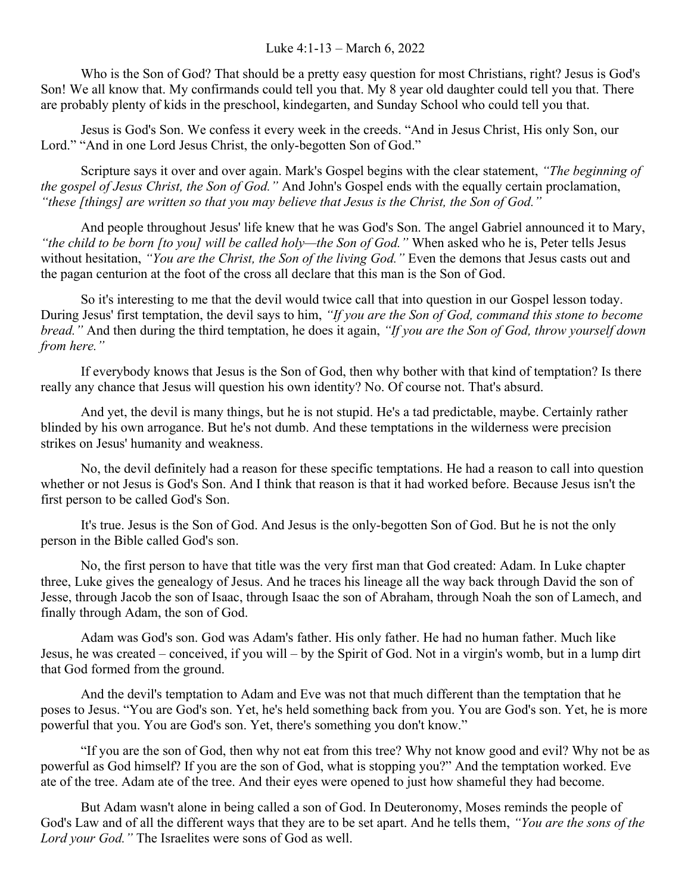Who is the Son of God? That should be a pretty easy question for most Christians, right? Jesus is God's Son! We all know that. My confirmands could tell you that. My 8 year old daughter could tell you that. There are probably plenty of kids in the preschool, kindegarten, and Sunday School who could tell you that.

Jesus is God's Son. We confess it every week in the creeds. "And in Jesus Christ, His only Son, our Lord." "And in one Lord Jesus Christ, the only-begotten Son of God."

Scripture says it over and over again. Mark's Gospel begins with the clear statement, *"The beginning of the gospel of Jesus Christ, the Son of God."* And John's Gospel ends with the equally certain proclamation, *"these [things] are written so that you may believe that Jesus is the Christ, the Son of God."* 

And people throughout Jesus' life knew that he was God's Son. The angel Gabriel announced it to Mary, *"the child to be born [to you] will be called holy—the Son of God."* When asked who he is, Peter tells Jesus without hesitation, *"You are the Christ, the Son of the living God."* Even the demons that Jesus casts out and the pagan centurion at the foot of the cross all declare that this man is the Son of God.

So it's interesting to me that the devil would twice call that into question in our Gospel lesson today. During Jesus' first temptation, the devil says to him, *"If you are the Son of God, command this stone to become bread."* And then during the third temptation, he does it again, *"If you are the Son of God, throw yourself down from here."*

If everybody knows that Jesus is the Son of God, then why bother with that kind of temptation? Is there really any chance that Jesus will question his own identity? No. Of course not. That's absurd.

And yet, the devil is many things, but he is not stupid. He's a tad predictable, maybe. Certainly rather blinded by his own arrogance. But he's not dumb. And these temptations in the wilderness were precision strikes on Jesus' humanity and weakness.

No, the devil definitely had a reason for these specific temptations. He had a reason to call into question whether or not Jesus is God's Son. And I think that reason is that it had worked before. Because Jesus isn't the first person to be called God's Son.

It's true. Jesus is the Son of God. And Jesus is the only-begotten Son of God. But he is not the only person in the Bible called God's son.

No, the first person to have that title was the very first man that God created: Adam. In Luke chapter three, Luke gives the genealogy of Jesus. And he traces his lineage all the way back through David the son of Jesse, through Jacob the son of Isaac, through Isaac the son of Abraham, through Noah the son of Lamech, and finally through Adam, the son of God.

Adam was God's son. God was Adam's father. His only father. He had no human father. Much like Jesus, he was created – conceived, if you will – by the Spirit of God. Not in a virgin's womb, but in a lump dirt that God formed from the ground.

And the devil's temptation to Adam and Eve was not that much different than the temptation that he poses to Jesus. "You are God's son. Yet, he's held something back from you. You are God's son. Yet, he is more powerful that you. You are God's son. Yet, there's something you don't know."

"If you are the son of God, then why not eat from this tree? Why not know good and evil? Why not be as powerful as God himself? If you are the son of God, what is stopping you?" And the temptation worked. Eve ate of the tree. Adam ate of the tree. And their eyes were opened to just how shameful they had become.

But Adam wasn't alone in being called a son of God. In Deuteronomy, Moses reminds the people of God's Law and of all the different ways that they are to be set apart. And he tells them, *"You are the sons of the Lord your God."* The Israelites were sons of God as well.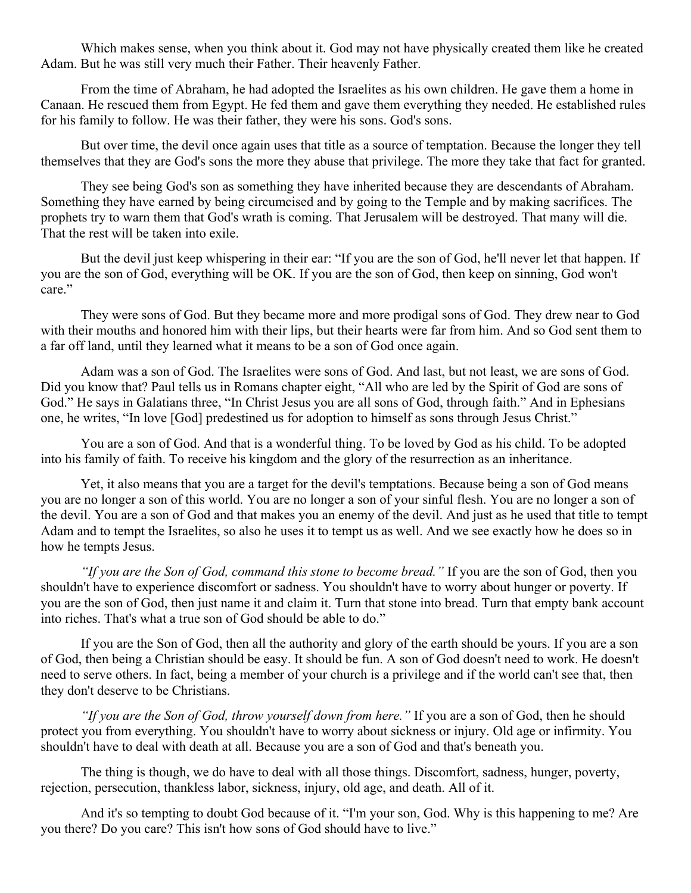Which makes sense, when you think about it. God may not have physically created them like he created Adam. But he was still very much their Father. Their heavenly Father.

From the time of Abraham, he had adopted the Israelites as his own children. He gave them a home in Canaan. He rescued them from Egypt. He fed them and gave them everything they needed. He established rules for his family to follow. He was their father, they were his sons. God's sons.

But over time, the devil once again uses that title as a source of temptation. Because the longer they tell themselves that they are God's sons the more they abuse that privilege. The more they take that fact for granted.

They see being God's son as something they have inherited because they are descendants of Abraham. Something they have earned by being circumcised and by going to the Temple and by making sacrifices. The prophets try to warn them that God's wrath is coming. That Jerusalem will be destroyed. That many will die. That the rest will be taken into exile.

But the devil just keep whispering in their ear: "If you are the son of God, he'll never let that happen. If you are the son of God, everything will be OK. If you are the son of God, then keep on sinning, God won't care."

They were sons of God. But they became more and more prodigal sons of God. They drew near to God with their mouths and honored him with their lips, but their hearts were far from him. And so God sent them to a far off land, until they learned what it means to be a son of God once again.

Adam was a son of God. The Israelites were sons of God. And last, but not least, we are sons of God. Did you know that? Paul tells us in Romans chapter eight, "All who are led by the Spirit of God are sons of God." He says in Galatians three, "In Christ Jesus you are all sons of God, through faith." And in Ephesians one, he writes, "In love [God] predestined us for adoption to himself as sons through Jesus Christ."

You are a son of God. And that is a wonderful thing. To be loved by God as his child. To be adopted into his family of faith. To receive his kingdom and the glory of the resurrection as an inheritance.

Yet, it also means that you are a target for the devil's temptations. Because being a son of God means you are no longer a son of this world. You are no longer a son of your sinful flesh. You are no longer a son of the devil. You are a son of God and that makes you an enemy of the devil. And just as he used that title to tempt Adam and to tempt the Israelites, so also he uses it to tempt us as well. And we see exactly how he does so in how he tempts Jesus.

*"If you are the Son of God, command this stone to become bread."* If you are the son of God, then you shouldn't have to experience discomfort or sadness. You shouldn't have to worry about hunger or poverty. If you are the son of God, then just name it and claim it. Turn that stone into bread. Turn that empty bank account into riches. That's what a true son of God should be able to do."

If you are the Son of God, then all the authority and glory of the earth should be yours. If you are a son of God, then being a Christian should be easy. It should be fun. A son of God doesn't need to work. He doesn't need to serve others. In fact, being a member of your church is a privilege and if the world can't see that, then they don't deserve to be Christians.

*"If you are the Son of God, throw yourself down from here."* If you are a son of God, then he should protect you from everything. You shouldn't have to worry about sickness or injury. Old age or infirmity. You shouldn't have to deal with death at all. Because you are a son of God and that's beneath you.

The thing is though, we do have to deal with all those things. Discomfort, sadness, hunger, poverty, rejection, persecution, thankless labor, sickness, injury, old age, and death. All of it.

And it's so tempting to doubt God because of it. "I'm your son, God. Why is this happening to me? Are you there? Do you care? This isn't how sons of God should have to live."